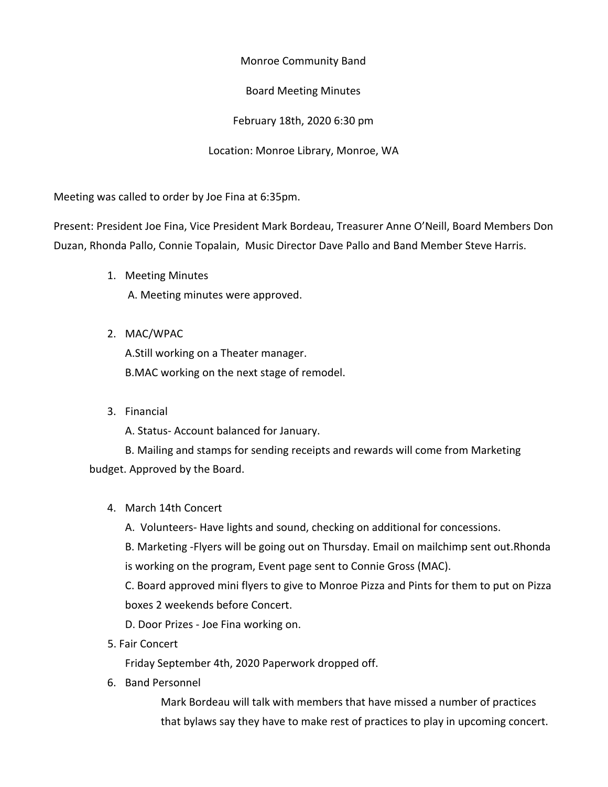Monroe Community Band

Board Meeting Minutes

February 18th, 2020 6:30 pm

Location: Monroe Library, Monroe, WA

Meeting was called to order by Joe Fina at 6:35pm.

Present: President Joe Fina, Vice President Mark Bordeau, Treasurer Anne O'Neill, Board Members Don Duzan, Rhonda Pallo, Connie Topalain, Music Director Dave Pallo and Band Member Steve Harris.

- 1. Meeting Minutes A. Meeting minutes were approved.
- 2. MAC/WPAC

A.Still working on a Theater manager. B.MAC working on the next stage of remodel.

3. Financial

A. Status- Account balanced for January.

B. Mailing and stamps for sending receipts and rewards will come from Marketing budget. Approved by the Board.

4. March 14th Concert

A. Volunteers- Have lights and sound, checking on additional for concessions.

B. Marketing -Flyers will be going out on Thursday. Email on mailchimp sent out.Rhonda is working on the program, Event page sent to Connie Gross (MAC).

C. Board approved mini flyers to give to Monroe Pizza and Pints for them to put on Pizza boxes 2 weekends before Concert.

D. Door Prizes - Joe Fina working on.

5. Fair Concert

Friday September 4th, 2020 Paperwork dropped off.

6. Band Personnel

Mark Bordeau will talk with members that have missed a number of practices that bylaws say they have to make rest of practices to play in upcoming concert.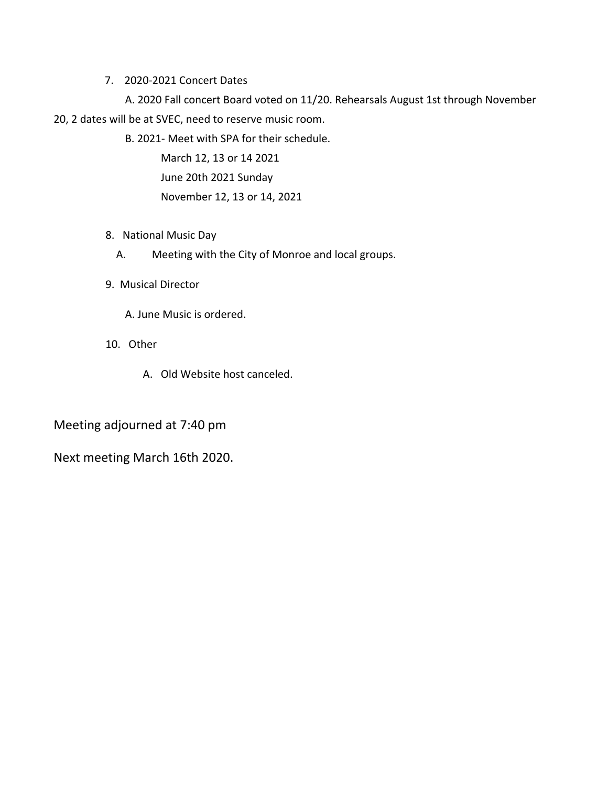7. 2020-2021 Concert Dates

A. 2020 Fall concert Board voted on 11/20. Rehearsals August 1st through November 20, 2 dates will be at SVEC, need to reserve music room.

B. 2021- Meet with SPA for their schedule.

March 12, 13 or 14 2021 June 20th 2021 Sunday November 12, 13 or 14, 2021

- 8. National Music Day
	- A. Meeting with the City of Monroe and local groups.
- 9. Musical Director

A. June Music is ordered.

- 10. Other
	- A. Old Website host canceled.

Meeting adjourned at 7:40 pm

Next meeting March 16th 2020.